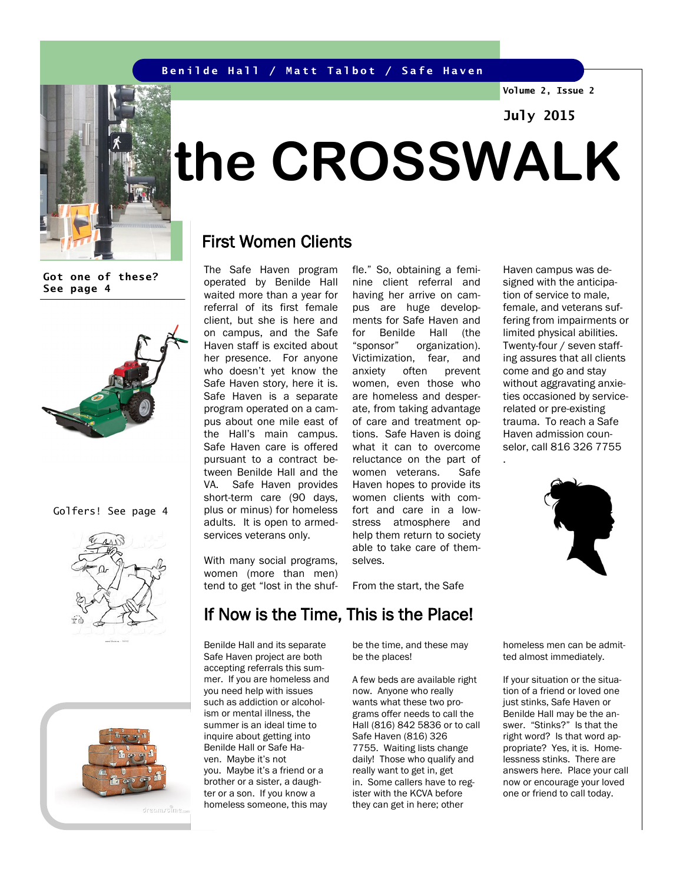#### **Benilde Hall / Matt Talbot / Safe Haven**

**Volume 2, Issue 2**

## **July 2015**



# **the CROSSWALK**

## First Women Clients

**Got one of these? See page 4**



Golfers! See page 4





The Safe Haven program operated by Benilde Hall waited more than a year for referral of its first female client, but she is here and on campus, and the Safe Haven staff is excited about her presence. For anyone who doesn't yet know the Safe Haven story, here it is. Safe Haven is a separate program operated on a campus about one mile east of the Hall's main campus. Safe Haven care is offered pursuant to a contract between Benilde Hall and the VA. Safe Haven provides short-term care (90 days, plus or minus) for homeless adults. It is open to armedservices veterans only.

fle." So, obtaining a feminine client referral and having her arrive on campus are huge developments for Safe Haven and for Benilde Hall (the "sponsor" organization). Victimization, fear, and anxiety often prevent women, even those who are homeless and desperate, from taking advantage of care and treatment options. Safe Haven is doing what it can to overcome reluctance on the part of women veterans. Safe Haven hopes to provide its women clients with comfort and care in a lowstress atmosphere and help them return to society able to take care of themselves.

From the start, the Safe

Haven campus was designed with the anticipation of service to male, female, and veterans suffering from impairments or limited physical abilities. Twenty-four / seven staffing assures that all clients come and go and stay without aggravating anxieties occasioned by servicerelated or pre-existing trauma. To reach a Safe Haven admission counselor, call 816 326 7755 .



homeless men can be admitted almost immediately.

> If your situation or the situation of a friend or loved one just stinks, Safe Haven or Benilde Hall may be the answer. "Stinks?" Is that the right word? Is that word appropriate? Yes, it is. Homelessness stinks. There are answers here. Place your call now or encourage your loved one or friend to call today.

#### With many social programs, women (more than men) tend to get "lost in the shuf-

# If Now is the Time, This is the Place!

Benilde Hall and its separate Safe Haven project are both accepting referrals this summer. If you are homeless and you need help with issues such as addiction or alcoholism or mental illness, the summer is an ideal time to inquire about getting into Benilde Hall or Safe Haven. Maybe it's not you. Maybe it's a friend or a brother or a sister, a daughter or a son. If you know a homeless someone, this may

be the time, and these may be the places!

A few beds are available right now. Anyone who really wants what these two programs offer needs to call the Hall (816) 842 5836 or to call Safe Haven (816) 326 7755. Waiting lists change daily! Those who qualify and really want to get in, get in. Some callers have to register with the KCVA before they can get in here; other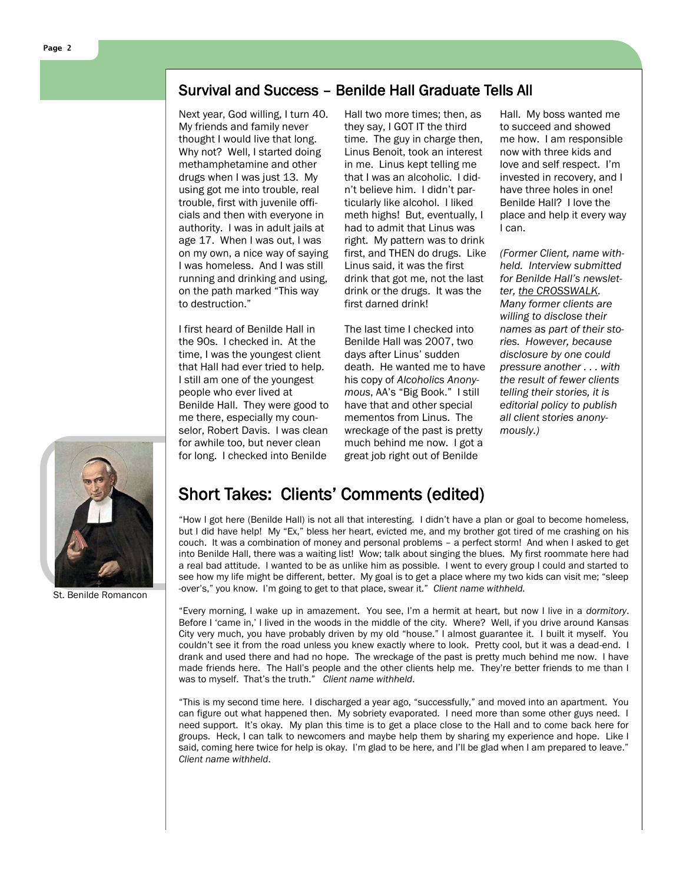## Survival and Success – Benilde Hall Graduate Tells All

Next year, God willing, I turn 40. My friends and family never thought I would live that long. Why not? Well, I started doing methamphetamine and other drugs when I was just 13. My using got me into trouble, real trouble, first with juvenile officials and then with everyone in authority. I was in adult jails at age 17. When I was out, I was on my own, a nice way of saying I was homeless. And I was still running and drinking and using, on the path marked "This way to destruction."

I first heard of Benilde Hall in the 90s. I checked in. At the time, I was the youngest client that Hall had ever tried to help. I still am one of the youngest people who ever lived at Benilde Hall. They were good to me there, especially my counselor, Robert Davis. I was clean for awhile too, but never clean for long. I checked into Benilde

Hall two more times; then, as they say, I GOT IT the third time. The guy in charge then, Linus Benoit, took an interest in me. Linus kept telling me that I was an alcoholic. I didn't believe him. I didn't particularly like alcohol. I liked meth highs! But, eventually, I had to admit that Linus was right. My pattern was to drink first, and THEN do drugs. Like Linus said, it was the first drink that got me, not the last drink or the drugs. It was the first darned drink!

The last time I checked into Benilde Hall was 2007, two days after Linus' sudden death. He wanted me to have his copy of *Alcoholics Anonymous*, AA's "Big Book." I still have that and other special mementos from Linus. The wreckage of the past is pretty much behind me now. I got a great job right out of Benilde

Hall. My boss wanted me to succeed and showed me how. I am responsible now with three kids and love and self respect. I'm invested in recovery, and I have three holes in one! Benilde Hall? I love the place and help it every way I can.

*(Former Client, name withheld. Interview submitted for Benilde Hall's newsletter, the CROSSWALK. Many former clients are willing to disclose their names as part of their stories. However, because disclosure by one could pressure another . . . with the result of fewer clients telling their stories, it is editorial policy to publish all client stories anonymously.)* 



St. Benilde Romancon

## Short Takes: Clients' Comments (edited)

"How I got here (Benilde Hall) is not all that interesting. I didn't have a plan or goal to become homeless, but I did have help! My "Ex," bless her heart, evicted me, and my brother got tired of me crashing on his couch. It was a combination of money and personal problems – a perfect storm! And when I asked to get into Benilde Hall, there was a waiting list! Wow; talk about singing the blues. My first roommate here had a real bad attitude. I wanted to be as unlike him as possible. I went to every group I could and started to see how my life might be different, better. My goal is to get a place where my two kids can visit me; "sleep -over's," you know. I'm going to get to that place, swear it." *Client name withheld.*

"Every morning, I wake up in amazement. You see, I'm a hermit at heart, but now I live in a *dormitory*. Before I 'came in,' I lived in the woods in the middle of the city. Where? Well, if you drive around Kansas City very much, you have probably driven by my old "house." I almost guarantee it. I built it myself. You couldn't see it from the road unless you knew exactly where to look. Pretty cool, but it was a dead-end. I drank and used there and had no hope. The wreckage of the past is pretty much behind me now. I have made friends here. The Hall's people and the other clients help me. They're better friends to me than I was to myself. That's the truth." *Client name withheld*.

"This is my second time here. I discharged a year ago, "successfully," and moved into an apartment. You can figure out what happened then. My sobriety evaporated. I need more than some other guys need. I need support. It's okay. My plan this time is to get a place close to the Hall and to come back here for groups. Heck, I can talk to newcomers and maybe help them by sharing my experience and hope. Like I said, coming here twice for help is okay. I'm glad to be here, and I'll be glad when I am prepared to leave." *Client name withheld*.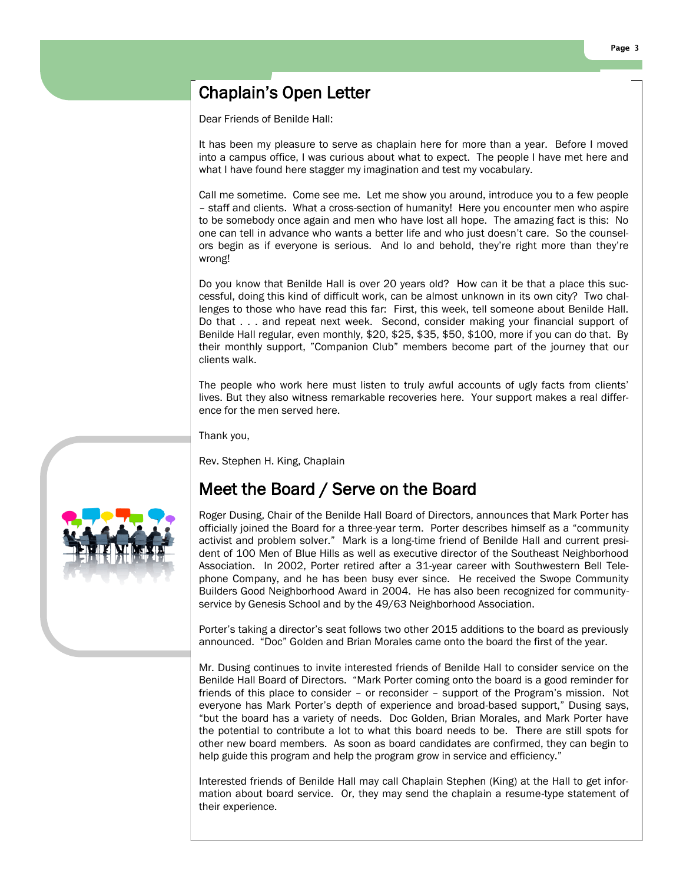## Chaplain's Open Letter

Dear Friends of Benilde Hall:

It has been my pleasure to serve as chaplain here for more than a year. Before I moved into a campus office, I was curious about what to expect. The people I have met here and what I have found here stagger my imagination and test my vocabulary.

Call me sometime. Come see me. Let me show you around, introduce you to a few people – staff and clients. What a cross-section of humanity! Here you encounter men who aspire to be somebody once again and men who have lost all hope. The amazing fact is this: No one can tell in advance who wants a better life and who just doesn't care. So the counselors begin as if everyone is serious. And lo and behold, they're right more than they're wrong!

Do you know that Benilde Hall is over 20 years old? How can it be that a place this successful, doing this kind of difficult work, can be almost unknown in its own city? Two challenges to those who have read this far: First, this week, tell someone about Benilde Hall. Do that . . . and repeat next week. Second, consider making your financial support of Benilde Hall regular, even monthly, \$20, \$25, \$35, \$50, \$100, more if you can do that. By their monthly support, "Companion Club" members become part of the journey that our clients walk.

The people who work here must listen to truly awful accounts of ugly facts from clients' lives. But they also witness remarkable recoveries here. Your support makes a real difference for the men served here.

Thank you,

Rev. Stephen H. King, Chaplain

## Meet the Board / Serve on the Board



Porter's taking a director's seat follows two other 2015 additions to the board as previously announced. "Doc" Golden and Brian Morales came onto the board the first of the year.

Mr. Dusing continues to invite interested friends of Benilde Hall to consider service on the Benilde Hall Board of Directors. "Mark Porter coming onto the board is a good reminder for friends of this place to consider – or reconsider – support of the Program's mission. Not everyone has Mark Porter's depth of experience and broad-based support," Dusing says, "but the board has a variety of needs. Doc Golden, Brian Morales, and Mark Porter have the potential to contribute a lot to what this board needs to be. There are still spots for other new board members. As soon as board candidates are confirmed, they can begin to help guide this program and help the program grow in service and efficiency."

Interested friends of Benilde Hall may call Chaplain Stephen (King) at the Hall to get information about board service. Or, they may send the chaplain a resume-type statement of their experience.